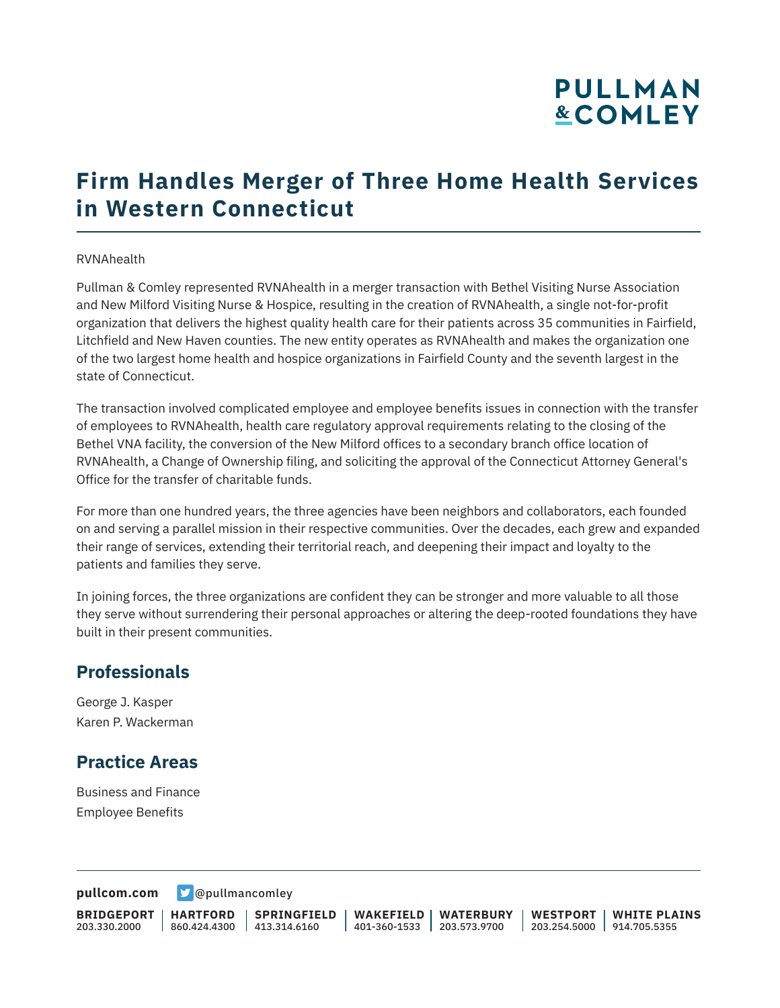# **PULLMAN &COMLEY**

# **Firm Handles Merger of Three Home Health Services in Western Connecticut**

#### RVNAhealth

Pullman & Comley represented RVNAhealth in a merger transaction with Bethel Visiting Nurse Association and New Milford Visiting Nurse & Hospice, resulting in the creation of RVNAhealth, a single not-for-profit organization that delivers the highest quality health care for their patients across 35 communities in Fairfield, Litchfield and New Haven counties. The new entity operates as RVNAhealth and makes the organization one of the two largest home health and hospice organizations in Fairfield County and the seventh largest in the state of Connecticut.

The transaction involved complicated employee and employee benefits issues in connection with the transfer of employees to RVNAhealth, health care regulatory approval requirements relating to the closing of the Bethel VNA facility, the conversion of the New Milford offices to a secondary branch office location of RVNAhealth, a Change of Ownership filing, and soliciting the approval of the Connecticut Attorney General's Office for the transfer of charitable funds.

For more than one hundred years, the three agencies have been neighbors and collaborators, each founded on and serving a parallel mission in their respective communities. Over the decades, each grew and expanded their range of services, extending their territorial reach, and deepening their impact and loyalty to the patients and families they serve.

In joining forces, the three organizations are confident they can be stronger and more valuable to all those they serve without surrendering their personal approaches or altering the deep-rooted foundations they have built in their present communities.

### **Professionals**

George J. Kasper Karen P. Wackerman

### **Practice Areas**

Business and Finance Employee Benefits

**[pullcom.com](https://www.pullcom.com) g** [@pullmancomley](https://twitter.com/PullmanComley)

**BRIDGEPORT** 203.330.2000

**HARTFORD** 860.424.4300 413.314.6160

**SPRINGFIELD**

**WAKEFIELD WATERBURY** 401-360-1533 203.573.9700

**WESTPORT WHITE PLAINS** 203.254.5000 914.705.5355